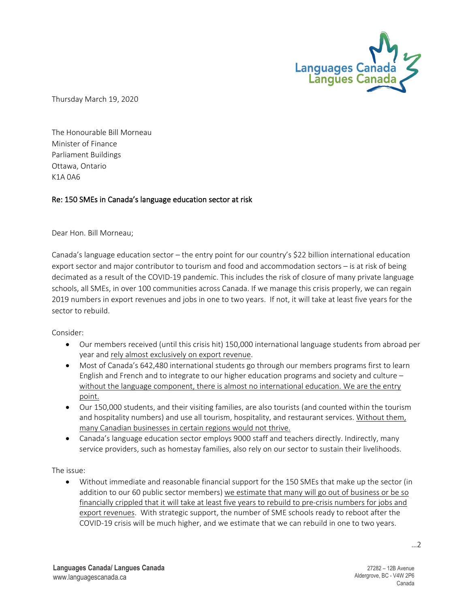

Thursday March 19, 2020

The Honourable Bill Morneau Minister of Finance Parliament Buildings Ottawa, Ontario K1A 0A6

## Re: 150 SMEs in Canada's language education sector at risk

Dear Hon. Bill Morneau;

Canada's language education sector – the entry point for our country's \$22 billion international education export sector and major contributor to tourism and food and accommodation sectors – is at risk of being decimated as a result of the COVID-19 pandemic. This includes the risk of closure of many private language schools, all SMEs, in over 100 communities across Canada. If we manage this crisis properly, we can regain 2019 numbers in export revenues and jobs in one to two years. If not, it will take at least five years for the sector to rebuild.

Consider:

- Our members received (until this crisis hit) 150,000 international language students from abroad per year and rely almost exclusively on export revenue.
- Most of Canada's 642,480 international students go through our members programs first to learn English and French and to integrate to our higher education programs and society and culture – without the language component, there is almost no international education. We are the entry point.
- Our 150,000 students, and their visiting families, are also tourists (and counted within the tourism and hospitality numbers) and use all tourism, hospitality, and restaurant services. Without them, many Canadian businesses in certain regions would not thrive.
- Canada's language education sector employs 9000 staff and teachers directly. Indirectly, many service providers, such as homestay families, also rely on our sector to sustain their livelihoods.

The issue:

• Without immediate and reasonable financial support for the 150 SMEs that make up the sector (in addition to our 60 public sector members) we estimate that many will go out of business or be so financially crippled that it will take at least five years to rebuild to pre-crisis numbers for jobs and export revenues. With strategic support, the number of SME schools ready to reboot after the COVID-19 crisis will be much higher, and we estimate that we can rebuild in one to two years.